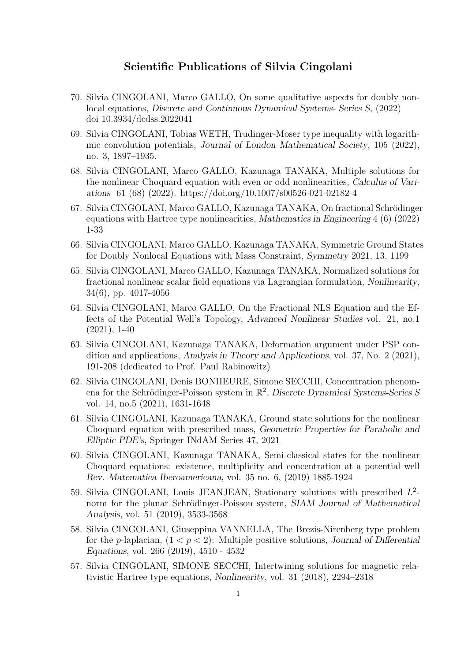## Scientific Publications of Silvia Cingolani

- 70. Silvia CINGOLANI, Marco GALLO, On some qualitative aspects for doubly nonlocal equations, Discrete and Continuous Dynamical Systems- Series S, (2022) doi 10.3934/dcdss.2022041
- 69. Silvia CINGOLANI, Tobias WETH, Trudinger-Moser type inequality with logarithmic convolution potentials, Journal of London Mathematical Society, 105 (2022), no. 3, 1897–1935.
- 68. Silvia CINGOLANI, Marco GALLO, Kazunaga TANAKA, Multiple solutions for the nonlinear Choquard equation with even or odd nonlinearities, Calculus of Variations 61 (68) (2022). https://doi.org/10.1007/s00526-021-02182-4
- 67. Silvia CINGOLANI, Marco GALLO, Kazunaga TANAKA, On fractional Schrödinger equations with Hartree type nonlinearities, Mathematics in Engineering 4 (6) (2022) 1-33
- 66. Silvia CINGOLANI, Marco GALLO, Kazunaga TANAKA, Symmetric Ground States for Doubly Nonlocal Equations with Mass Constraint, Symmetry 2021, 13, 1199
- 65. Silvia CINGOLANI, Marco GALLO, Kazunaga TANAKA, Normalized solutions for fractional nonlinear scalar field equations via Lagrangian formulation, Nonlinearity, 34(6), pp. 4017-4056
- 64. Silvia CINGOLANI, Marco GALLO, On the Fractional NLS Equation and the Effects of the Potential Well's Topology, Advanced Nonlinear Studies vol. 21, no.1 (2021), 1-40
- 63. Silvia CINGOLANI, Kazunaga TANAKA, Deformation argument under PSP condition and applications, Analysis in Theory and Applications, vol. 37, No. 2 (2021), 191-208 (dedicated to Prof. Paul Rabinowitz)
- 62. Silvia CINGOLANI, Denis BONHEURE, Simone SECCHI, Concentration phenomena for the Schrödinger-Poisson system in  $\mathbb{R}^2$ , Discrete Dynamical Systems-Series S vol. 14, no.5 (2021), 1631-1648
- 61. Silvia CINGOLANI, Kazunaga TANAKA, Ground state solutions for the nonlinear Choquard equation with prescribed mass, Geometric Properties for Parabolic and Elliptic PDE's, Springer INdAM Series 47, 2021
- 60. Silvia CINGOLANI, Kazunaga TANAKA, Semi-classical states for the nonlinear Choquard equations: existence, multiplicity and concentration at a potential well Rev. Matematica Iberoamericana, vol. 35 no. 6, (2019) 1885-1924
- 59. Silvia CINGOLANI, Louis JEANJEAN, Stationary solutions with prescribed  $L^2$ norm for the planar Schrödinger-Poisson system, SIAM Journal of Mathematical Analysis, vol. 51 (2019), 3533-3568
- 58. Silvia CINGOLANI, Giuseppina VANNELLA, The Brezis-Nirenberg type problem for the p-laplacian,  $(1 < p < 2)$ : Multiple positive solutions, Journal of Differential Equations, vol. 266 (2019), 4510 - 4532
- 57. Silvia CINGOLANI, SIMONE SECCHI, Intertwining solutions for magnetic relativistic Hartree type equations, Nonlinearity, vol. 31 (2018), 2294–2318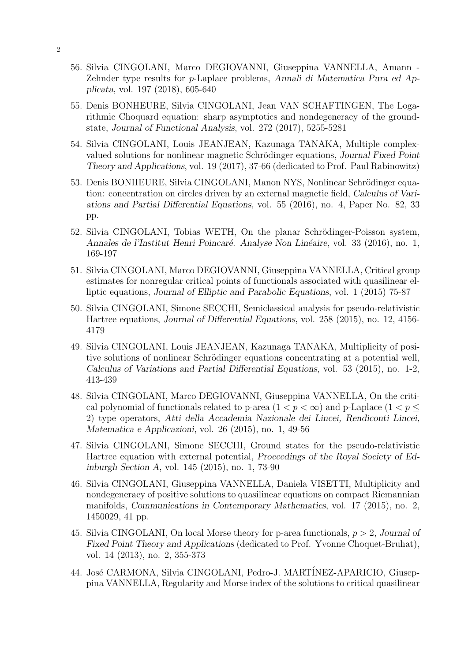- 56. Silvia CINGOLANI, Marco DEGIOVANNI, Giuseppina VANNELLA, Amann Zehnder type results for p-Laplace problems, Annali di Matematica Pura ed Applicata, vol. 197 (2018), 605-640
- 55. Denis BONHEURE, Silvia CINGOLANI, Jean VAN SCHAFTINGEN, The Logarithmic Choquard equation: sharp asymptotics and nondegeneracy of the groundstate, Journal of Functional Analysis, vol. 272 (2017), 5255-5281
- 54. Silvia CINGOLANI, Louis JEANJEAN, Kazunaga TANAKA, Multiple complexvalued solutions for nonlinear magnetic Schrödinger equations, Journal Fixed Point Theory and Applications, vol. 19 (2017), 37-66 (dedicated to Prof. Paul Rabinowitz)
- 53. Denis BONHEURE, Silvia CINGOLANI, Manon NYS, Nonlinear Schrödinger equation: concentration on circles driven by an external magnetic field, Calculus of Variations and Partial Differential Equations, vol. 55 (2016), no. 4, Paper No. 82, 33 pp.
- 52. Silvia CINGOLANI, Tobias WETH, On the planar Schrödinger-Poisson system, Annales de l'Institut Henri Poincaré. Analyse Non Linéaire, vol. 33 (2016), no. 1, 169-197
- 51. Silvia CINGOLANI, Marco DEGIOVANNI, Giuseppina VANNELLA, Critical group estimates for nonregular critical points of functionals associated with quasilinear elliptic equations, Journal of Elliptic and Parabolic Equations, vol. 1 (2015) 75-87
- 50. Silvia CINGOLANI, Simone SECCHI, Semiclassical analysis for pseudo-relativistic Hartree equations, Journal of Differential Equations, vol. 258 (2015), no. 12, 4156- 4179
- 49. Silvia CINGOLANI, Louis JEANJEAN, Kazunaga TANAKA, Multiplicity of positive solutions of nonlinear Schrödinger equations concentrating at a potential well, Calculus of Variations and Partial Differential Equations, vol. 53 (2015), no. 1-2, 413-439
- 48. Silvia CINGOLANI, Marco DEGIOVANNI, Giuseppina VANNELLA, On the critical polynomial of functionals related to p-area  $(1 < p < \infty)$  and p-Laplace  $(1 < p <$ 2) type operators, Atti della Accademia Nazionale dei Lincei, Rendiconti Lincei, Matematica e Applicazioni, vol. 26 (2015), no. 1, 49-56
- 47. Silvia CINGOLANI, Simone SECCHI, Ground states for the pseudo-relativistic Hartree equation with external potential, Proceedings of the Royal Society of Edinburgh Section A, vol. 145 (2015), no. 1, 73-90
- 46. Silvia CINGOLANI, Giuseppina VANNELLA, Daniela VISETTI, Multiplicity and nondegeneracy of positive solutions to quasilinear equations on compact Riemannian manifolds, Communications in Contemporary Mathematics, vol. 17 (2015), no. 2, 1450029, 41 pp.
- 45. Silvia CINGOLANI, On local Morse theory for p-area functionals,  $p > 2$ , Journal of Fixed Point Theory and Applications (dedicated to Prof. Yvonne Choquet-Bruhat), vol. 14 (2013), no. 2, 355-373
- 44. José CARMONA, Silvia CINGOLANI, Pedro-J. MARTÍNEZ-APARICIO, Giuseppina VANNELLA, Regularity and Morse index of the solutions to critical quasilinear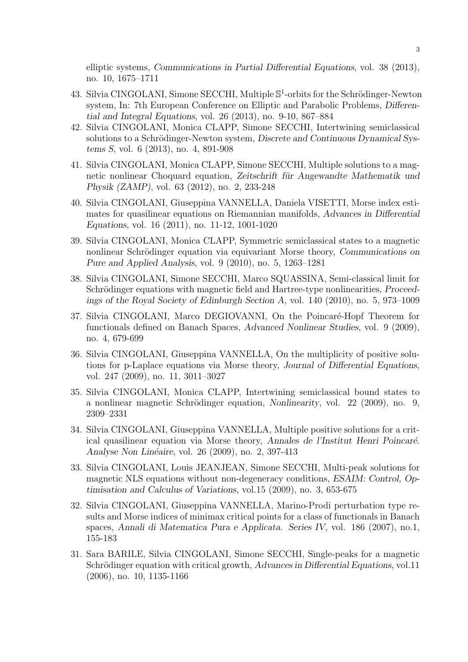elliptic systems, Communications in Partial Differential Equations, vol. 38 (2013), no. 10, 1675–1711

- 43. Silvia CINGOLANI, Simone SECCHI, Multiple  $\mathbb{S}^1$ -orbits for the Schrödinger-Newton system, In: 7th European Conference on Elliptic and Parabolic Problems, Differential and Integral Equations, vol. 26 (2013), no. 9-10, 867–884
- 42. Silvia CINGOLANI, Monica CLAPP, Simone SECCHI, Intertwining semiclassical solutions to a Schrödinger-Newton system, Discrete and Continuous Dynamical Systems S, vol. 6 (2013), no. 4, 891-908
- 41. Silvia CINGOLANI, Monica CLAPP, Simone SECCHI, Multiple solutions to a magnetic nonlinear Choquard equation, Zeitschrift für Angewandte Mathematik und Physik (ZAMP), vol. 63 (2012), no. 2, 233-248
- 40. Silvia CINGOLANI, Giuseppina VANNELLA, Daniela VISETTI, Morse index estimates for quasilinear equations on Riemannian manifolds, Advances in Differential Equations, vol. 16 (2011), no. 11-12, 1001-1020
- 39. Silvia CINGOLANI, Monica CLAPP, Symmetric semiclassical states to a magnetic nonlinear Schrödinger equation via equivariant Morse theory, Communications on Pure and Applied Analysis, vol. 9 (2010), no. 5, 1263–1281
- 38. Silvia CINGOLANI, Simone SECCHI, Marco SQUASSINA, Semi-classical limit for Schrödinger equations with magnetic field and Hartree-type nonlinearities, *Proceed*ings of the Royal Society of Edinburgh Section A, vol. 140 (2010), no. 5, 973–1009
- 37. Silvia CINGOLANI, Marco DEGIOVANNI, On the Poincaré-Hopf Theorem for functionals defined on Banach Spaces, Advanced Nonlinear Studies, vol. 9 (2009), no. 4, 679-699
- 36. Silvia CINGOLANI, Giuseppina VANNELLA, On the multiplicity of positive solutions for p-Laplace equations via Morse theory, Journal of Differential Equations, vol. 247 (2009), no. 11, 3011–3027
- 35. Silvia CINGOLANI, Monica CLAPP, Intertwining semiclassical bound states to a nonlinear magnetic Schrödinger equation, Nonlinearity, vol.  $22$  (2009), no. 9, 2309–2331
- 34. Silvia CINGOLANI, Giuseppina VANNELLA, Multiple positive solutions for a critical quasilinear equation via Morse theory, Annales de l'Institut Henri Poincaré. Analyse Non Linéaire, vol. 26 (2009), no. 2, 397-413
- 33. Silvia CINGOLANI, Louis JEANJEAN, Simone SECCHI, Multi-peak solutions for magnetic NLS equations without non-degeneracy conditions, ESAIM: Control, Optimisation and Calculus of Variations, vol.15 (2009), no. 3, 653-675
- 32. Silvia CINGOLANI, Giuseppina VANNELLA, Marino-Prodi perturbation type results and Morse indices of minimax critical points for a class of functionals in Banach spaces, Annali di Matematica Pura e Applicata. Series IV, vol. 186 (2007), no.1, 155-183
- 31. Sara BARILE, Silvia CINGOLANI, Simone SECCHI, Single-peaks for a magnetic Schrödinger equation with critical growth, Advances in Differential Equations, vol.11 (2006), no. 10, 1135-1166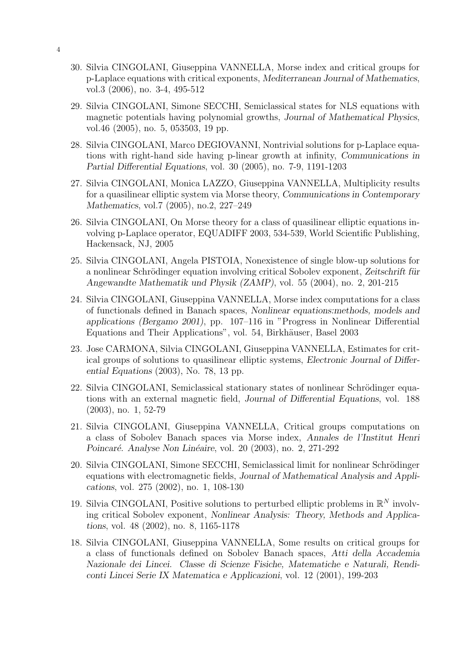- 30. Silvia CINGOLANI, Giuseppina VANNELLA, Morse index and critical groups for p-Laplace equations with critical exponents, Mediterranean Journal of Mathematics, vol.3 (2006), no. 3-4, 495-512
- 29. Silvia CINGOLANI, Simone SECCHI, Semiclassical states for NLS equations with magnetic potentials having polynomial growths, Journal of Mathematical Physics, vol.46 (2005), no. 5, 053503, 19 pp.
- 28. Silvia CINGOLANI, Marco DEGIOVANNI, Nontrivial solutions for p-Laplace equations with right-hand side having p-linear growth at infinity, Communications in Partial Differential Equations, vol. 30 (2005), no. 7-9, 1191-1203
- 27. Silvia CINGOLANI, Monica LAZZO, Giuseppina VANNELLA, Multiplicity results for a quasilinear elliptic system via Morse theory, Communications in Contemporary Mathematics, vol.7 (2005), no.2, 227–249
- 26. Silvia CINGOLANI, On Morse theory for a class of quasilinear elliptic equations involving p-Laplace operator, EQUADIFF 2003, 534-539, World Scientific Publishing, Hackensack, NJ, 2005
- 25. Silvia CINGOLANI, Angela PISTOIA, Nonexistence of single blow-up solutions for a nonlinear Schrödinger equation involving critical Sobolev exponent, Zeitschrift für Angewandte Mathematik und Physik (ZAMP), vol. 55 (2004), no. 2, 201-215
- 24. Silvia CINGOLANI, Giuseppina VANNELLA, Morse index computations for a class of functionals defined in Banach spaces, Nonlinear equations:methods, models and applications (Bergamo 2001), pp. 107–116 in "Progress in Nonlinear Differential Equations and Their Applications", vol. 54, Birkhäuser, Basel 2003
- 23. Jose CARMONA, Silvia CINGOLANI, Giuseppina VANNELLA, Estimates for critical groups of solutions to quasilinear elliptic systems, Electronic Journal of Differential Equations (2003), No. 78, 13 pp.
- 22. Silvia CINGOLANI, Semiclassical stationary states of nonlinear Schrödinger equations with an external magnetic field, Journal of Differential Equations, vol. 188 (2003), no. 1, 52-79
- 21. Silvia CINGOLANI, Giuseppina VANNELLA, Critical groups computations on a class of Sobolev Banach spaces via Morse index, Annales de l'Institut Henri Poincaré. Analyse Non Linéaire, vol. 20 (2003), no. 2, 271-292
- 20. Silvia CINGOLANI, Simone SECCHI, Semiclassical limit for nonlinear Schrödinger equations with electromagnetic fields, Journal of Mathematical Analysis and Applications, vol. 275 (2002), no. 1, 108-130
- 19. Silvia CINGOLANI, Positive solutions to perturbed elliptic problems in  $\mathbb{R}^N$  involving critical Sobolev exponent, Nonlinear Analysis: Theory, Methods and Applications, vol. 48 (2002), no. 8, 1165-1178
- 18. Silvia CINGOLANI, Giuseppina VANNELLA, Some results on critical groups for a class of functionals defined on Sobolev Banach spaces, Atti della Accademia Nazionale dei Lincei. Classe di Scienze Fisiche, Matematiche e Naturali, Rendiconti Lincei Serie IX Matematica e Applicazioni, vol. 12 (2001), 199-203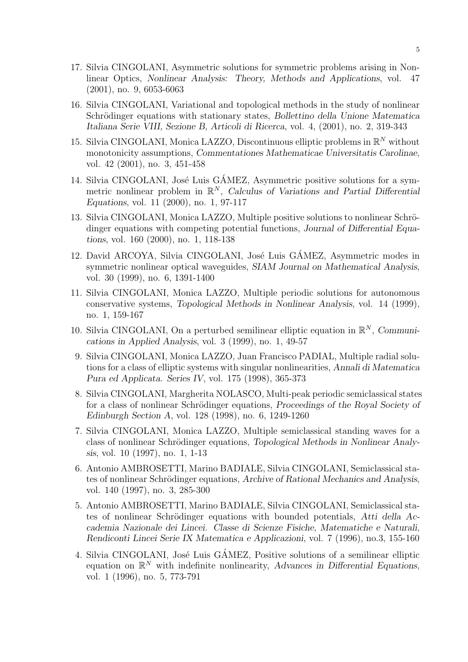- 17. Silvia CINGOLANI, Asymmetric solutions for symmetric problems arising in Nonlinear Optics, Nonlinear Analysis: Theory, Methods and Applications, vol. 47 (2001), no. 9, 6053-6063
- 16. Silvia CINGOLANI, Variational and topological methods in the study of nonlinear Schrödinger equations with stationary states, Bollettino della Unione Matematica Italiana Serie VIII, Sezione B, Articoli di Ricerca, vol. 4, (2001), no. 2, 319-343
- 15. Silvia CINGOLANI, Monica LAZZO, Discontinuous elliptic problems in  $\mathbb{R}^N$  without monotonicity assumptions, Commentationes Mathematicae Universitatis Carolinae, vol. 42 (2001), no. 3, 451-458
- 14. Silvia CINGOLANI, José Luis GÁMEZ, Asymmetric positive solutions for a symmetric nonlinear problem in  $\mathbb{R}^N$ , Calculus of Variations and Partial Differential Equations, vol. 11 (2000), no. 1, 97-117
- 13. Silvia CINGOLANI, Monica LAZZO, Multiple positive solutions to nonlinear Schrödinger equations with competing potential functions, Journal of Differential Equations, vol. 160 (2000), no. 1, 118-138
- 12. David ARCOYA, Silvia CINGOLANI, José Luis GÁMEZ, Asymmetric modes in symmetric nonlinear optical waveguides, SIAM Journal on Mathematical Analysis, vol. 30 (1999), no. 6, 1391-1400
- 11. Silvia CINGOLANI, Monica LAZZO, Multiple periodic solutions for autonomous conservative systems, Topological Methods in Nonlinear Analysis, vol. 14 (1999), no. 1, 159-167
- 10. Silvia CINGOLANI, On a perturbed semilinear elliptic equation in  $\mathbb{R}^N$ , Communications in Applied Analysis, vol. 3 (1999), no. 1, 49-57
- 9. Silvia CINGOLANI, Monica LAZZO, Juan Francisco PADIAL, Multiple radial solutions for a class of elliptic systems with singular nonlinearities, Annali di Matematica Pura ed Applicata. Series IV, vol. 175 (1998), 365-373
- 8. Silvia CINGOLANI, Margherita NOLASCO, Multi-peak periodic semiclassical states for a class of nonlinear Schrödinger equations, Proceedings of the Royal Society of Edinburgh Section A, vol. 128 (1998), no. 6, 1249-1260
- 7. Silvia CINGOLANI, Monica LAZZO, Multiple semiclassical standing waves for a class of nonlinear Schrödinger equations, Topological Methods in Nonlinear Analysis, vol. 10 (1997), no. 1, 1-13
- 6. Antonio AMBROSETTI, Marino BADIALE, Silvia CINGOLANI, Semiclassical states of nonlinear Schrödinger equations, Archive of Rational Mechanics and Analysis, vol. 140 (1997), no. 3, 285-300
- 5. Antonio AMBROSETTI, Marino BADIALE, Silvia CINGOLANI, Semiclassical states of nonlinear Schrödinger equations with bounded potentials, Atti della Accademia Nazionale dei Lincei. Classe di Scienze Fisiche, Matematiche e Naturali, Rendiconti Lincei Serie IX Matematica e Applicazioni, vol. 7 (1996), no.3, 155-160
- 4. Silvia CINGOLANI, José Luis GÁMEZ, Positive solutions of a semilinear elliptic equation on  $\mathbb{R}^N$  with indefinite nonlinearity, Advances in Differential Equations, vol. 1 (1996), no. 5, 773-791